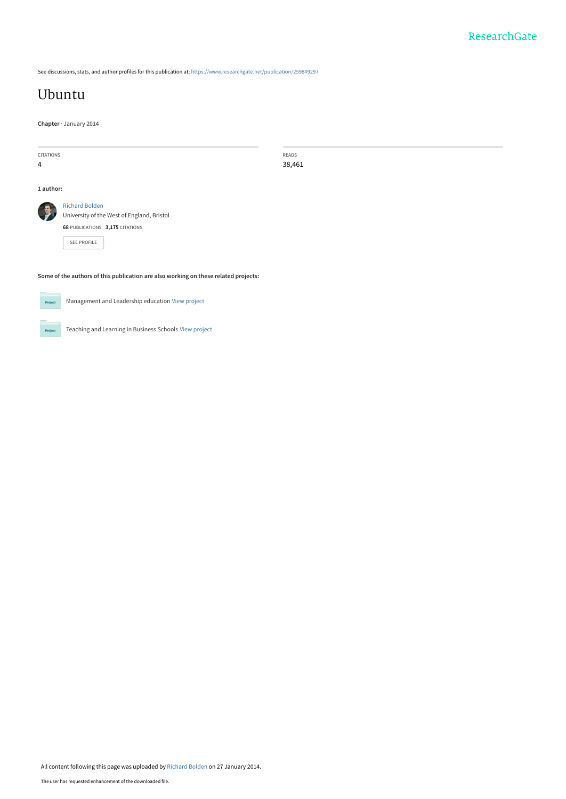See discussions, stats, and author profiles for this publication at: [https://www.researchgate.net/publication/259849297](https://www.researchgate.net/publication/259849297_Ubuntu?enrichId=rgreq-b10991806e275996e84b1646313ae451-XXX&enrichSource=Y292ZXJQYWdlOzI1OTg0OTI5NztBUzo5OTg5OTczNTU0MzgxNkAxNDAwODI5MzYxODI2&el=1_x_2&_esc=publicationCoverPdf)

# [Ubuntu](https://www.researchgate.net/publication/259849297_Ubuntu?enrichId=rgreq-b10991806e275996e84b1646313ae451-XXX&enrichSource=Y292ZXJQYWdlOzI1OTg0OTI5NztBUzo5OTg5OTczNTU0MzgxNkAxNDAwODI5MzYxODI2&el=1_x_3&_esc=publicationCoverPdf)

**Chapter** · January 2014

| CITATIONS<br>4                                                                      | READS<br>38,461                                                                                                              |  |
|-------------------------------------------------------------------------------------|------------------------------------------------------------------------------------------------------------------------------|--|
| 1 author:                                                                           |                                                                                                                              |  |
|                                                                                     | <b>Richard Bolden</b><br>University of the West of England, Bristol<br>68 PUBLICATIONS 3,175 CITATIONS<br><b>SEE PROFILE</b> |  |
| Some of the authors of this publication are also working on these related projects: |                                                                                                                              |  |



Management and Leadership education [View project](https://www.researchgate.net/project/Management-and-Leadership-education?enrichId=rgreq-b10991806e275996e84b1646313ae451-XXX&enrichSource=Y292ZXJQYWdlOzI1OTg0OTI5NztBUzo5OTg5OTczNTU0MzgxNkAxNDAwODI5MzYxODI2&el=1_x_9&_esc=publicationCoverPdf)

Project

Teaching and Learning in Business Schools [View project](https://www.researchgate.net/project/Teaching-and-Learning-in-Business-Schools?enrichId=rgreq-b10991806e275996e84b1646313ae451-XXX&enrichSource=Y292ZXJQYWdlOzI1OTg0OTI5NztBUzo5OTg5OTczNTU0MzgxNkAxNDAwODI5MzYxODI2&el=1_x_9&_esc=publicationCoverPdf)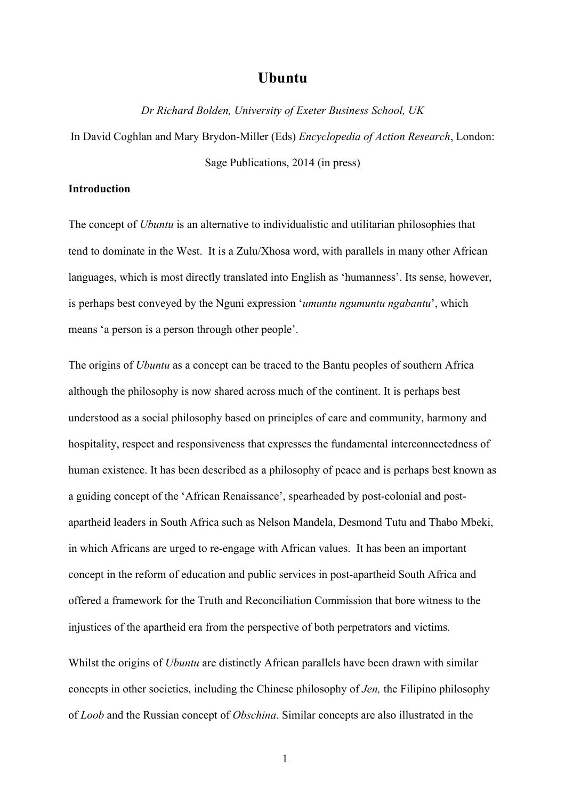# **Ubuntu**

*Dr Richard Bolden, University of Exeter Business School, UK*

In David Coghlan and Mary Brydon-Miller (Eds) *Encyclopedia of Action Research*, London: Sage Publications, 2014 (in press)

#### **Introduction**

The concept of *Ubuntu* is an alternative to individualistic and utilitarian philosophies that tend to dominate in the West. It is a Zulu/Xhosa word, with parallels in many other African languages, which is most directly translated into English as 'humanness'. Its sense, however, is perhaps best conveyed by the Nguni expression '*umuntu ngumuntu ngabantu*', which means 'a person is a person through other people'.

The origins of *Ubuntu* as a concept can be traced to the Bantu peoples of southern Africa although the philosophy is now shared across much of the continent. It is perhaps best understood as a social philosophy based on principles of care and community, harmony and hospitality, respect and responsiveness that expresses the fundamental interconnectedness of human existence. It has been described as a philosophy of peace and is perhaps best known as a guiding concept of the 'African Renaissance', spearheaded by post-colonial and postapartheid leaders in South Africa such as Nelson Mandela, Desmond Tutu and Thabo Mbeki, in which Africans are urged to re-engage with African values. It has been an important concept in the reform of education and public services in post-apartheid South Africa and offered a framework for the Truth and Reconciliation Commission that bore witness to the injustices of the apartheid era from the perspective of both perpetrators and victims.

Whilst the origins of *Ubuntu* are distinctly African parallels have been drawn with similar concepts in other societies, including the Chinese philosophy of *Jen,* the Filipino philosophy of *Loob* and the Russian concept of *Obschina*. Similar concepts are also illustrated in the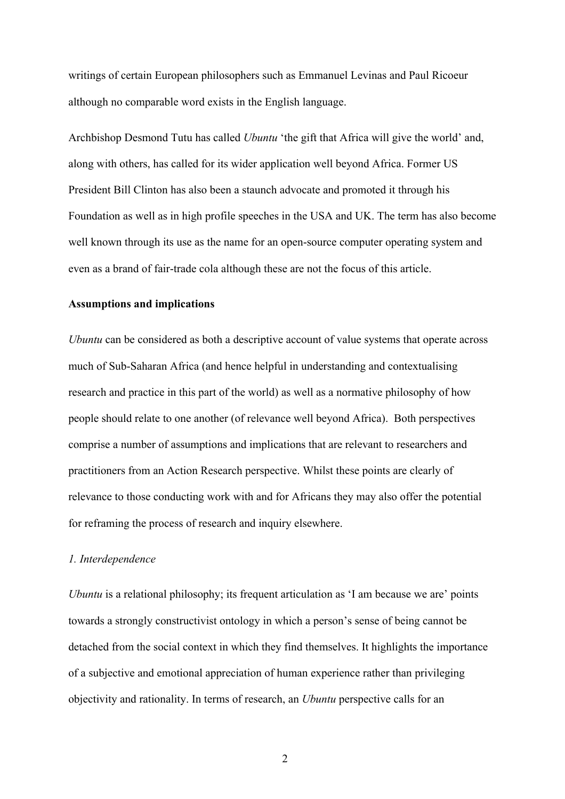writings of certain European philosophers such as Emmanuel Levinas and Paul Ricoeur although no comparable word exists in the English language.

Archbishop Desmond Tutu has called *Ubuntu* 'the gift that Africa will give the world' and, along with others, has called for its wider application well beyond Africa. Former US President Bill Clinton has also been a staunch advocate and promoted it through his Foundation as well as in high profile speeches in the USA and UK. The term has also become well known through its use as the name for an open-source computer operating system and even as a brand of fair-trade cola although these are not the focus of this article.

#### **Assumptions and implications**

*Ubuntu* can be considered as both a descriptive account of value systems that operate across much of Sub-Saharan Africa (and hence helpful in understanding and contextualising research and practice in this part of the world) as well as a normative philosophy of how people should relate to one another (of relevance well beyond Africa). Both perspectives comprise a number of assumptions and implications that are relevant to researchers and practitioners from an Action Research perspective. Whilst these points are clearly of relevance to those conducting work with and for Africans they may also offer the potential for reframing the process of research and inquiry elsewhere.

### *1. Interdependence*

*Ubuntu* is a relational philosophy; its frequent articulation as 'I am because we are' points towards a strongly constructivist ontology in which a person's sense of being cannot be detached from the social context in which they find themselves. It highlights the importance of a subjective and emotional appreciation of human experience rather than privileging objectivity and rationality. In terms of research, an *Ubuntu* perspective calls for an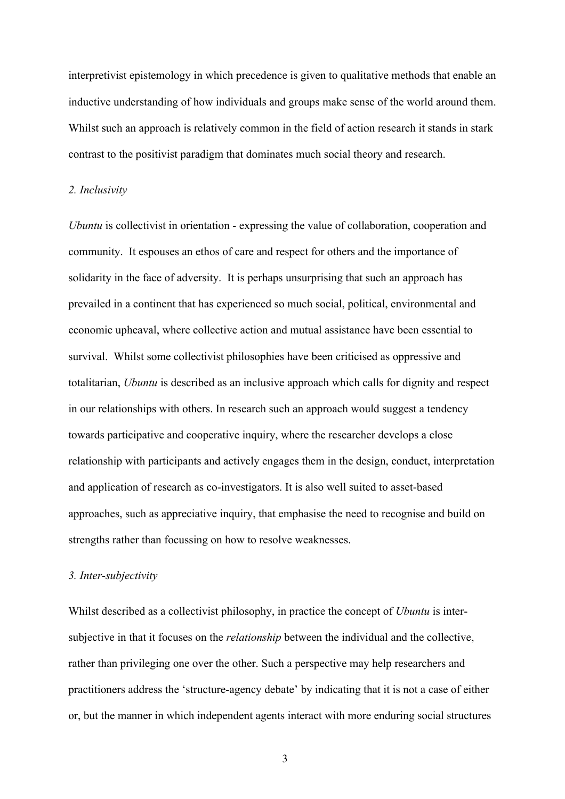interpretivist epistemology in which precedence is given to qualitative methods that enable an inductive understanding of how individuals and groups make sense of the world around them. Whilst such an approach is relatively common in the field of action research it stands in stark contrast to the positivist paradigm that dominates much social theory and research.

#### *2. Inclusivity*

*Ubuntu* is collectivist in orientation - expressing the value of collaboration, cooperation and community. It espouses an ethos of care and respect for others and the importance of solidarity in the face of adversity. It is perhaps unsurprising that such an approach has prevailed in a continent that has experienced so much social, political, environmental and economic upheaval, where collective action and mutual assistance have been essential to survival. Whilst some collectivist philosophies have been criticised as oppressive and totalitarian, *Ubuntu* is described as an inclusive approach which calls for dignity and respect in our relationships with others. In research such an approach would suggest a tendency towards participative and cooperative inquiry, where the researcher develops a close relationship with participants and actively engages them in the design, conduct, interpretation and application of research as co-investigators. It is also well suited to asset-based approaches, such as appreciative inquiry, that emphasise the need to recognise and build on strengths rather than focussing on how to resolve weaknesses.

#### *3. Inter-subjectivity*

Whilst described as a collectivist philosophy, in practice the concept of *Ubuntu* is intersubjective in that it focuses on the *relationship* between the individual and the collective, rather than privileging one over the other. Such a perspective may help researchers and practitioners address the 'structure-agency debate' by indicating that it is not a case of either or, but the manner in which independent agents interact with more enduring social structures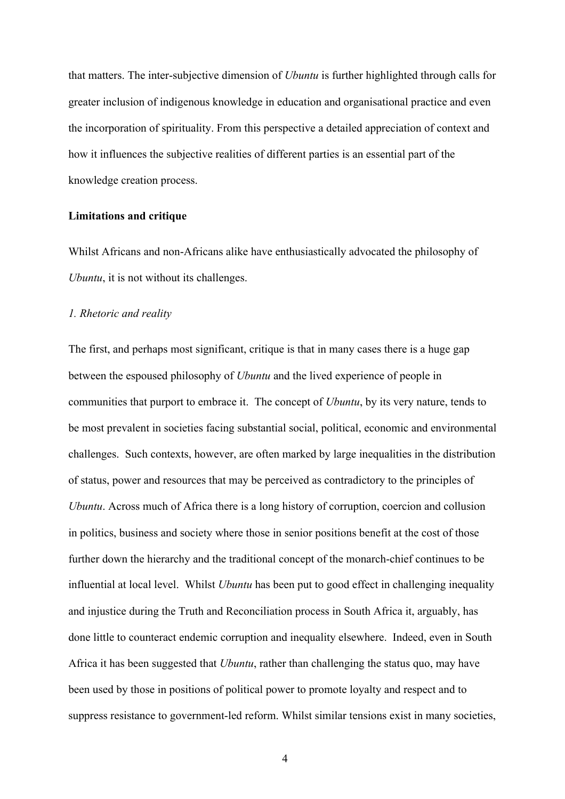that matters. The inter-subjective dimension of *Ubuntu* is further highlighted through calls for greater inclusion of indigenous knowledge in education and organisational practice and even the incorporation of spirituality. From this perspective a detailed appreciation of context and how it influences the subjective realities of different parties is an essential part of the knowledge creation process.

#### **Limitations and critique**

Whilst Africans and non-Africans alike have enthusiastically advocated the philosophy of *Ubuntu*, it is not without its challenges.

#### *1. Rhetoric and reality*

The first, and perhaps most significant, critique is that in many cases there is a huge gap between the espoused philosophy of *Ubuntu* and the lived experience of people in communities that purport to embrace it. The concept of *Ubuntu*, by its very nature, tends to be most prevalent in societies facing substantial social, political, economic and environmental challenges. Such contexts, however, are often marked by large inequalities in the distribution of status, power and resources that may be perceived as contradictory to the principles of *Ubuntu*. Across much of Africa there is a long history of corruption, coercion and collusion in politics, business and society where those in senior positions benefit at the cost of those further down the hierarchy and the traditional concept of the monarch-chief continues to be influential at local level. Whilst *Ubuntu* has been put to good effect in challenging inequality and injustice during the Truth and Reconciliation process in South Africa it, arguably, has done little to counteract endemic corruption and inequality elsewhere. Indeed, even in South Africa it has been suggested that *Ubuntu*, rather than challenging the status quo, may have been used by those in positions of political power to promote loyalty and respect and to suppress resistance to government-led reform. Whilst similar tensions exist in many societies,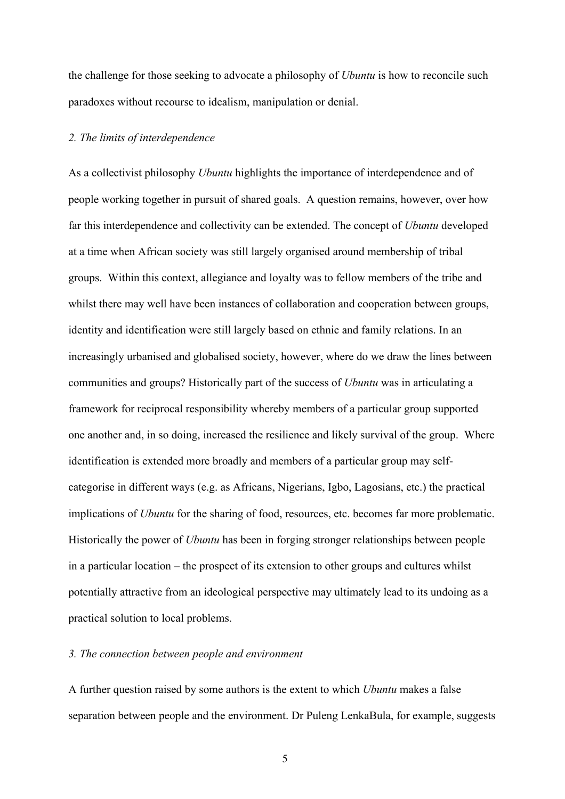the challenge for those seeking to advocate a philosophy of *Ubuntu* is how to reconcile such paradoxes without recourse to idealism, manipulation or denial.

#### *2. The limits of interdependence*

As a collectivist philosophy *Ubuntu* highlights the importance of interdependence and of people working together in pursuit of shared goals. A question remains, however, over how far this interdependence and collectivity can be extended. The concept of *Ubuntu* developed at a time when African society was still largely organised around membership of tribal groups. Within this context, allegiance and loyalty was to fellow members of the tribe and whilst there may well have been instances of collaboration and cooperation between groups, identity and identification were still largely based on ethnic and family relations. In an increasingly urbanised and globalised society, however, where do we draw the lines between communities and groups? Historically part of the success of *Ubuntu* was in articulating a framework for reciprocal responsibility whereby members of a particular group supported one another and, in so doing, increased the resilience and likely survival of the group. Where identification is extended more broadly and members of a particular group may selfcategorise in different ways (e.g. as Africans, Nigerians, Igbo, Lagosians, etc.) the practical implications of *Ubuntu* for the sharing of food, resources, etc. becomes far more problematic. Historically the power of *Ubuntu* has been in forging stronger relationships between people in a particular location – the prospect of its extension to other groups and cultures whilst potentially attractive from an ideological perspective may ultimately lead to its undoing as a practical solution to local problems.

#### *3. The connection between people and environment*

A further question raised by some authors is the extent to which *Ubuntu* makes a false separation between people and the environment. Dr Puleng LenkaBula, for example, suggests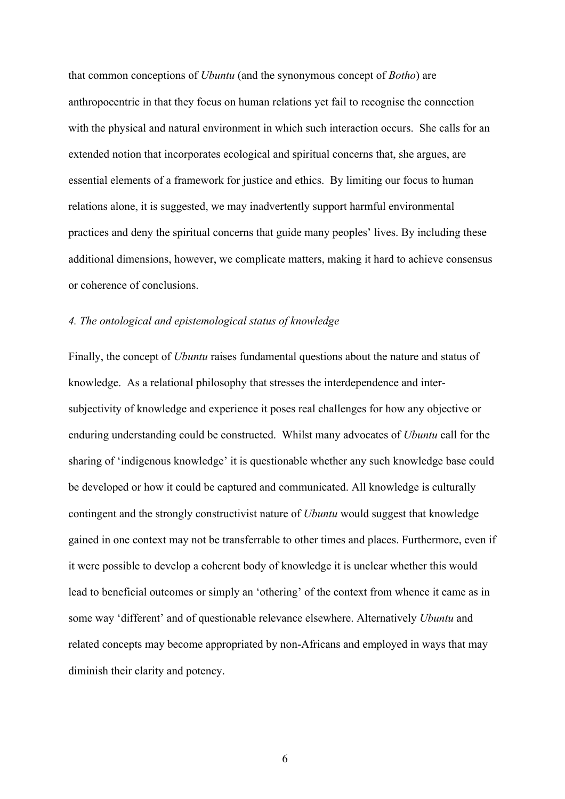that common conceptions of *Ubuntu* (and the synonymous concept of *Botho*) are anthropocentric in that they focus on human relations yet fail to recognise the connection with the physical and natural environment in which such interaction occurs. She calls for an extended notion that incorporates ecological and spiritual concerns that, she argues, are essential elements of a framework for justice and ethics. By limiting our focus to human relations alone, it is suggested, we may inadvertently support harmful environmental practices and deny the spiritual concerns that guide many peoples' lives. By including these additional dimensions, however, we complicate matters, making it hard to achieve consensus or coherence of conclusions.

# *4. The ontological and epistemological status of knowledge*

Finally, the concept of *Ubuntu* raises fundamental questions about the nature and status of knowledge. As a relational philosophy that stresses the interdependence and intersubjectivity of knowledge and experience it poses real challenges for how any objective or enduring understanding could be constructed. Whilst many advocates of *Ubuntu* call for the sharing of 'indigenous knowledge' it is questionable whether any such knowledge base could be developed or how it could be captured and communicated. All knowledge is culturally contingent and the strongly constructivist nature of *Ubuntu* would suggest that knowledge gained in one context may not be transferrable to other times and places. Furthermore, even if it were possible to develop a coherent body of knowledge it is unclear whether this would lead to beneficial outcomes or simply an 'othering' of the context from whence it came as in some way 'different' and of questionable relevance elsewhere. Alternatively *Ubuntu* and related concepts may become appropriated by non-Africans and employed in ways that may diminish their clarity and potency.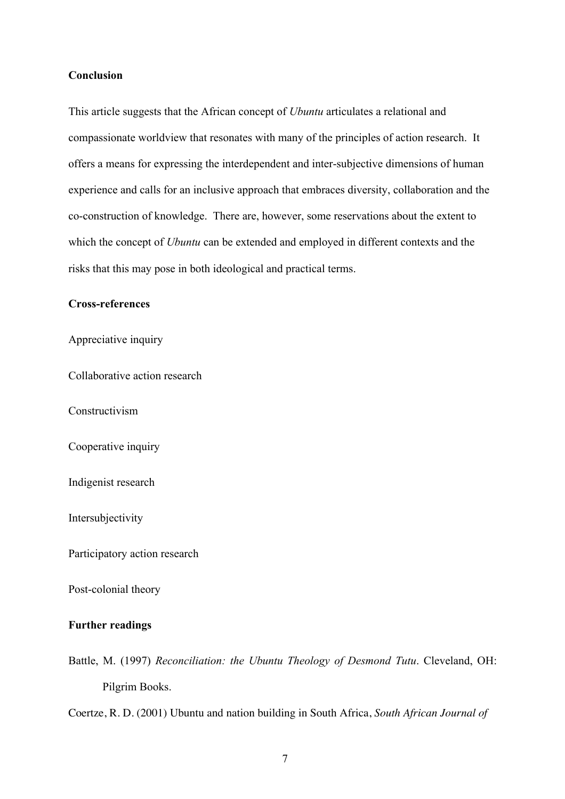# **Conclusion**

This article suggests that the African concept of *Ubuntu* articulates a relational and compassionate worldview that resonates with many of the principles of action research. It offers a means for expressing the interdependent and inter-subjective dimensions of human experience and calls for an inclusive approach that embraces diversity, collaboration and the co-construction of knowledge. There are, however, some reservations about the extent to which the concept of *Ubuntu* can be extended and employed in different contexts and the risks that this may pose in both ideological and practical terms.

## **Cross-references**

Appreciative inquiry

Collaborative action research

Constructivism

Cooperative inquiry

Indigenist research

Intersubjectivity

Participatory action research

Post-colonial theory

#### **Further readings**

Battle, M. (1997) *Reconciliation: the Ubuntu Theology of Desmond Tutu*. Cleveland, OH: Pilgrim Books.

Coertze, R. D. (2001) Ubuntu and nation building in South Africa, *South African Journal of*